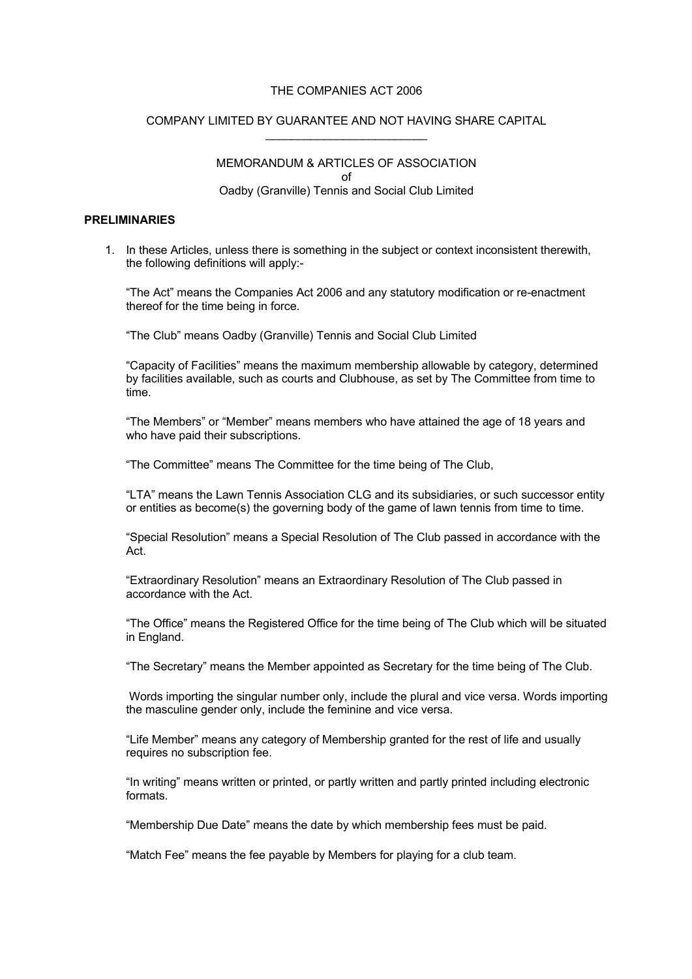#### THE COMPANIES ACT 2006

#### COMPANY LIMITED BY GUARANTEE AND NOT HAVING SHARE CAPITAL \_\_\_\_\_\_\_\_\_\_\_\_\_\_\_\_\_\_\_\_\_\_\_\_\_

MEMORANDUM & ARTICLES OF ASSOCIATION of Oadby (Granville) Tennis and Social Club Limited

# **PRELIMINARIES**

1. In these Articles, unless there is something in the subject or context inconsistent therewith, the following definitions will apply:-

"The Act" means the Companies Act 2006 and any statutory modification or re-enactment thereof for the time being in force.

"The Club" means Oadby (Granville) Tennis and Social Club Limited

"Capacity of Facilities" means the maximum membership allowable by category, determined by facilities available, such as courts and Clubhouse, as set by The Committee from time to time.

"The Members" or "Member" means members who have attained the age of 18 years and who have paid their subscriptions.

"The Committee" means The Committee for the time being of The Club,

"LTA" means the Lawn Tennis Association CLG and its subsidiaries, or such successor entity or entities as become(s) the governing body of the game of lawn tennis from time to time.

"Special Resolution" means a Special Resolution of The Club passed in accordance with the Act.

"Extraordinary Resolution" means an Extraordinary Resolution of The Club passed in accordance with the Act.

"The Office" means the Registered Office for the time being of The Club which will be situated in England.

"The Secretary" means the Member appointed as Secretary for the time being of The Club.

Words importing the singular number only, include the plural and vice versa. Words importing the masculine gender only, include the feminine and vice versa.

"Life Member" means any category of Membership granted for the rest of life and usually requires no subscription fee.

"In writing" means written or printed, or partly written and partly printed including electronic formats.

"Membership Due Date" means the date by which membership fees must be paid.

"Match Fee" means the fee payable by Members for playing for a club team.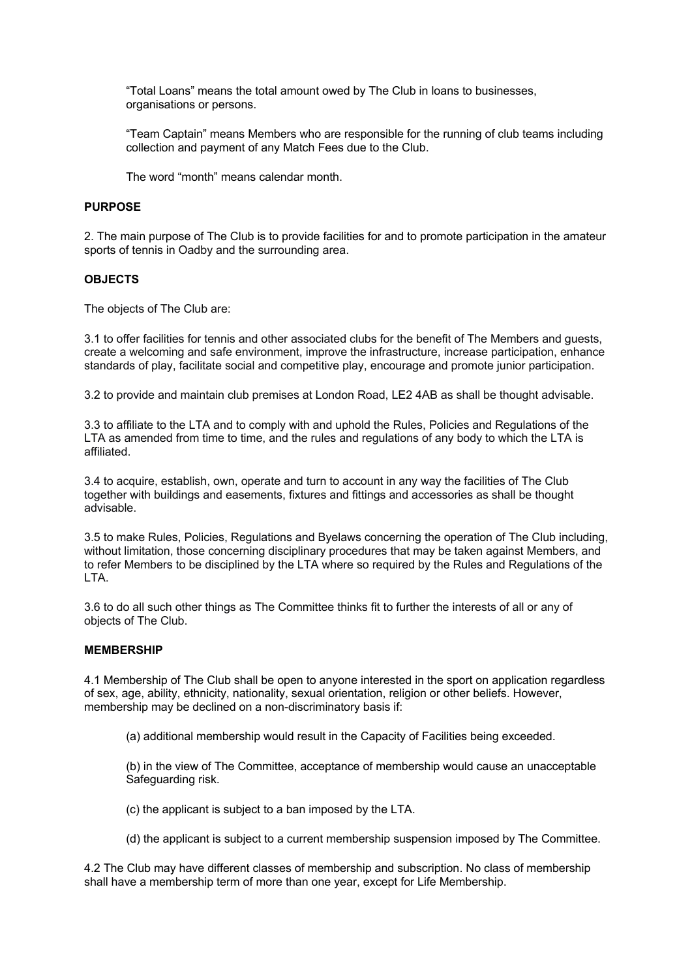"Total Loans" means the total amount owed by The Club in loans to businesses, organisations or persons.

"Team Captain" means Members who are responsible for the running of club teams including collection and payment of any Match Fees due to the Club.

The word "month" means calendar month.

#### **PURPOSE**

2. The main purpose of The Club is to provide facilities for and to promote participation in the amateur sports of tennis in Oadby and the surrounding area.

## **OBJECTS**

The objects of The Club are:

3.1 to offer facilities for tennis and other associated clubs for the benefit of The Members and guests, create a welcoming and safe environment, improve the infrastructure, increase participation, enhance standards of play, facilitate social and competitive play, encourage and promote junior participation.

3.2 to provide and maintain club premises at London Road, LE2 4AB as shall be thought advisable.

3.3 to affiliate to the LTA and to comply with and uphold the Rules, Policies and Regulations of the LTA as amended from time to time, and the rules and regulations of any body to which the LTA is affiliated.

3.4 to acquire, establish, own, operate and turn to account in any way the facilities of The Club together with buildings and easements, fixtures and fittings and accessories as shall be thought advisable.

3.5 to make Rules, Policies, Regulations and Byelaws concerning the operation of The Club including, without limitation, those concerning disciplinary procedures that may be taken against Members, and to refer Members to be disciplined by the LTA where so required by the Rules and Regulations of the LTA.

3.6 to do all such other things as The Committee thinks fit to further the interests of all or any of objects of The Club.

#### **MEMBERSHIP**

4.1 Membership of The Club shall be open to anyone interested in the sport on application regardless of sex, age, ability, ethnicity, nationality, sexual orientation, religion or other beliefs. However, membership may be declined on a non-discriminatory basis if:

(a) additional membership would result in the Capacity of Facilities being exceeded.

(b) in the view of The Committee, acceptance of membership would cause an unacceptable Safeguarding risk.

(c) the applicant is subject to a ban imposed by the LTA.

(d) the applicant is subject to a current membership suspension imposed by The Committee.

4.2 The Club may have different classes of membership and subscription. No class of membership shall have a membership term of more than one year, except for Life Membership.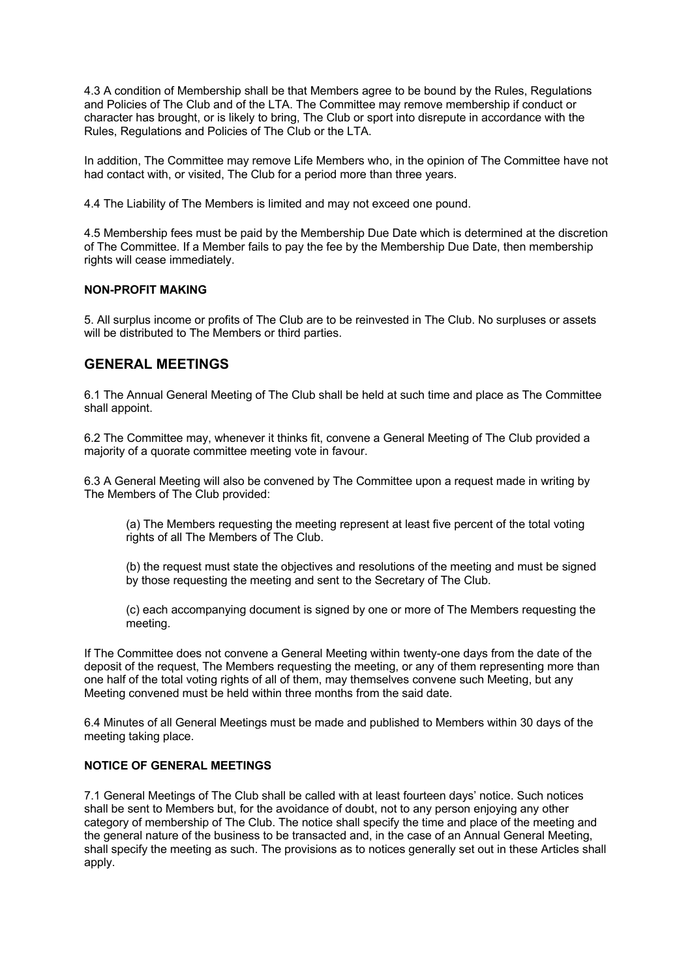4.3 A condition of Membership shall be that Members agree to be bound by the Rules, Regulations and Policies of The Club and of the LTA. The Committee may remove membership if conduct or character has brought, or is likely to bring, The Club or sport into disrepute in accordance with the Rules, Regulations and Policies of The Club or the LTA.

In addition, The Committee may remove Life Members who, in the opinion of The Committee have not had contact with, or visited, The Club for a period more than three years.

4.4 The Liability of The Members is limited and may not exceed one pound.

4.5 Membership fees must be paid by the Membership Due Date which is determined at the discretion of The Committee. If a Member fails to pay the fee by the Membership Due Date, then membership rights will cease immediately.

# **NON-PROFIT MAKING**

5. All surplus income or profits of The Club are to be reinvested in The Club. No surpluses or assets will be distributed to The Members or third parties.

# **GENERAL MEETINGS**

6.1 The Annual General Meeting of The Club shall be held at such time and place as The Committee shall appoint.

6.2 The Committee may, whenever it thinks fit, convene a General Meeting of The Club provided a majority of a quorate committee meeting vote in favour.

6.3 A General Meeting will also be convened by The Committee upon a request made in writing by The Members of The Club provided:

(a) The Members requesting the meeting represent at least five percent of the total voting rights of all The Members of The Club.

(b) the request must state the objectives and resolutions of the meeting and must be signed by those requesting the meeting and sent to the Secretary of The Club.

(c) each accompanying document is signed by one or more of The Members requesting the meeting.

If The Committee does not convene a General Meeting within twenty-one days from the date of the deposit of the request, The Members requesting the meeting, or any of them representing more than one half of the total voting rights of all of them, may themselves convene such Meeting, but any Meeting convened must be held within three months from the said date.

6.4 Minutes of all General Meetings must be made and published to Members within 30 days of the meeting taking place.

# **NOTICE OF GENERAL MEETINGS**

7.1 General Meetings of The Club shall be called with at least fourteen days' notice. Such notices shall be sent to Members but, for the avoidance of doubt, not to any person enjoying any other category of membership of The Club. The notice shall specify the time and place of the meeting and the general nature of the business to be transacted and, in the case of an Annual General Meeting, shall specify the meeting as such. The provisions as to notices generally set out in these Articles shall apply.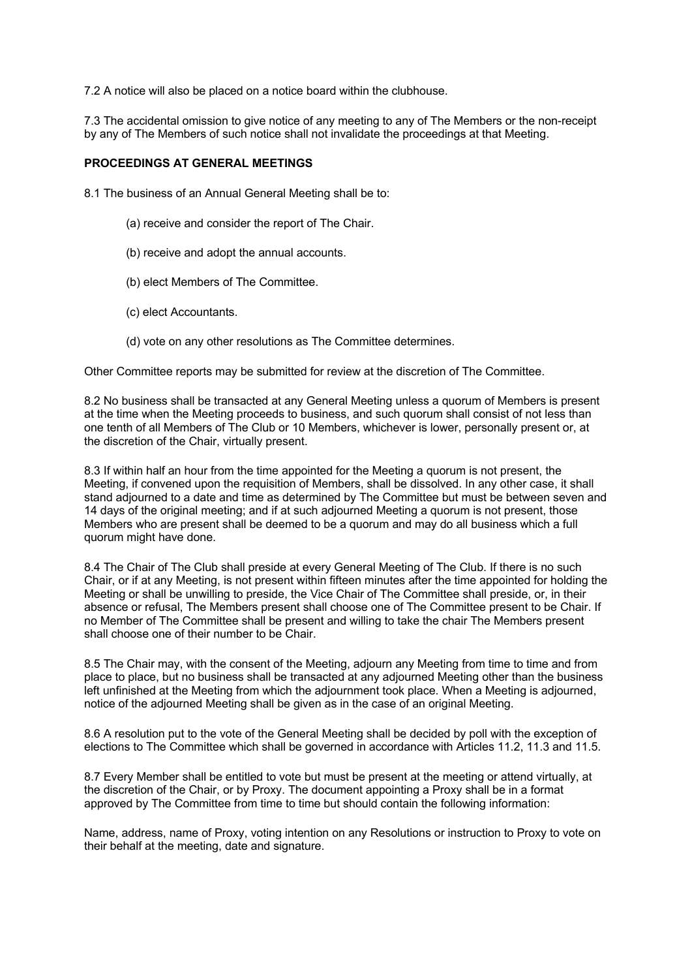7.2 A notice will also be placed on a notice board within the clubhouse.

7.3 The accidental omission to give notice of any meeting to any of The Members or the non-receipt by any of The Members of such notice shall not invalidate the proceedings at that Meeting.

## **PROCEEDINGS AT GENERAL MEETINGS**

8.1 The business of an Annual General Meeting shall be to:

- (a) receive and consider the report of The Chair.
- (b) receive and adopt the annual accounts.
- (b) elect Members of The Committee.
- (c) elect Accountants.
- (d) vote on any other resolutions as The Committee determines.

Other Committee reports may be submitted for review at the discretion of The Committee.

8.2 No business shall be transacted at any General Meeting unless a quorum of Members is present at the time when the Meeting proceeds to business, and such quorum shall consist of not less than one tenth of all Members of The Club or 10 Members, whichever is lower, personally present or, at the discretion of the Chair, virtually present.

8.3 If within half an hour from the time appointed for the Meeting a quorum is not present, the Meeting, if convened upon the requisition of Members, shall be dissolved. In any other case, it shall stand adjourned to a date and time as determined by The Committee but must be between seven and 14 days of the original meeting; and if at such adjourned Meeting a quorum is not present, those Members who are present shall be deemed to be a quorum and may do all business which a full quorum might have done.

8.4 The Chair of The Club shall preside at every General Meeting of The Club. If there is no such Chair, or if at any Meeting, is not present within fifteen minutes after the time appointed for holding the Meeting or shall be unwilling to preside, the Vice Chair of The Committee shall preside, or, in their absence or refusal, The Members present shall choose one of The Committee present to be Chair. If no Member of The Committee shall be present and willing to take the chair The Members present shall choose one of their number to be Chair.

8.5 The Chair may, with the consent of the Meeting, adjourn any Meeting from time to time and from place to place, but no business shall be transacted at any adjourned Meeting other than the business left unfinished at the Meeting from which the adjournment took place. When a Meeting is adjourned, notice of the adjourned Meeting shall be given as in the case of an original Meeting.

8.6 A resolution put to the vote of the General Meeting shall be decided by poll with the exception of elections to The Committee which shall be governed in accordance with Articles 11.2, 11.3 and 11.5.

8.7 Every Member shall be entitled to vote but must be present at the meeting or attend virtually, at the discretion of the Chair, or by Proxy. The document appointing a Proxy shall be in a format approved by The Committee from time to time but should contain the following information:

Name, address, name of Proxy, voting intention on any Resolutions or instruction to Proxy to vote on their behalf at the meeting, date and signature.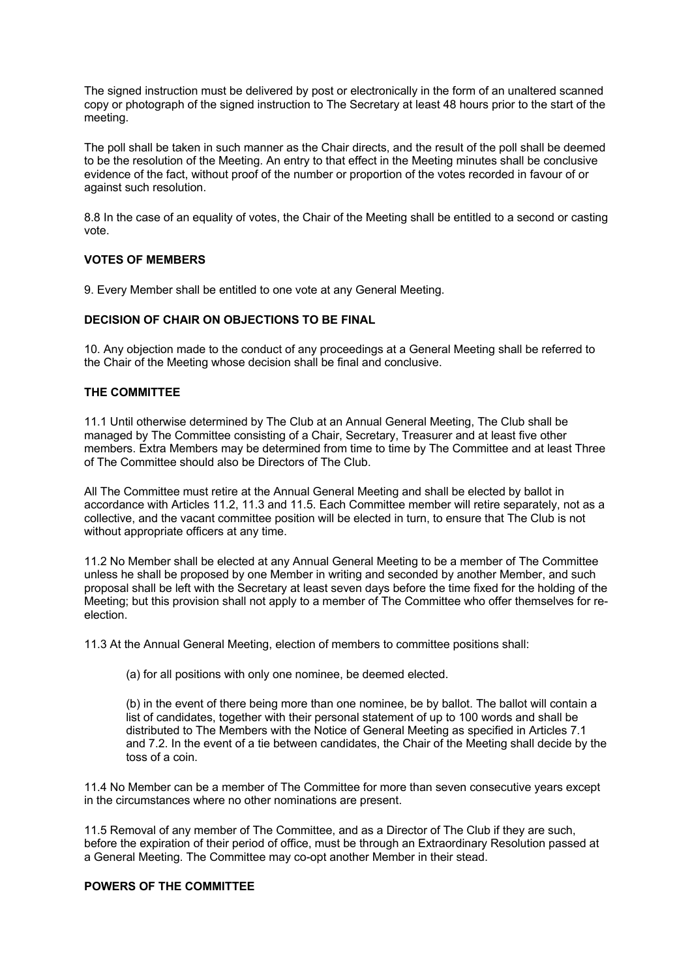The signed instruction must be delivered by post or electronically in the form of an unaltered scanned copy or photograph of the signed instruction to The Secretary at least 48 hours prior to the start of the meeting.

The poll shall be taken in such manner as the Chair directs, and the result of the poll shall be deemed to be the resolution of the Meeting. An entry to that effect in the Meeting minutes shall be conclusive evidence of the fact, without proof of the number or proportion of the votes recorded in favour of or against such resolution.

8.8 In the case of an equality of votes, the Chair of the Meeting shall be entitled to a second or casting vote.

## **VOTES OF MEMBERS**

9. Every Member shall be entitled to one vote at any General Meeting.

## **DECISION OF CHAIR ON OBJECTIONS TO BE FINAL**

10. Any objection made to the conduct of any proceedings at a General Meeting shall be referred to the Chair of the Meeting whose decision shall be final and conclusive.

## **THE COMMITTEE**

11.1 Until otherwise determined by The Club at an Annual General Meeting, The Club shall be managed by The Committee consisting of a Chair, Secretary, Treasurer and at least five other members. Extra Members may be determined from time to time by The Committee and at least Three of The Committee should also be Directors of The Club.

All The Committee must retire at the Annual General Meeting and shall be elected by ballot in accordance with Articles 11.2, 11.3 and 11.5. Each Committee member will retire separately, not as a collective, and the vacant committee position will be elected in turn, to ensure that The Club is not without appropriate officers at any time.

11.2 No Member shall be elected at any Annual General Meeting to be a member of The Committee unless he shall be proposed by one Member in writing and seconded by another Member, and such proposal shall be left with the Secretary at least seven days before the time fixed for the holding of the Meeting; but this provision shall not apply to a member of The Committee who offer themselves for reelection.

11.3 At the Annual General Meeting, election of members to committee positions shall:

(a) for all positions with only one nominee, be deemed elected.

(b) in the event of there being more than one nominee, be by ballot. The ballot will contain a list of candidates, together with their personal statement of up to 100 words and shall be distributed to The Members with the Notice of General Meeting as specified in Articles 7.1 and 7.2. In the event of a tie between candidates, the Chair of the Meeting shall decide by the toss of a coin.

11.4 No Member can be a member of The Committee for more than seven consecutive years except in the circumstances where no other nominations are present.

11.5 Removal of any member of The Committee, and as a Director of The Club if they are such, before the expiration of their period of office, must be through an Extraordinary Resolution passed at a General Meeting. The Committee may co-opt another Member in their stead.

## **POWERS OF THE COMMITTEE**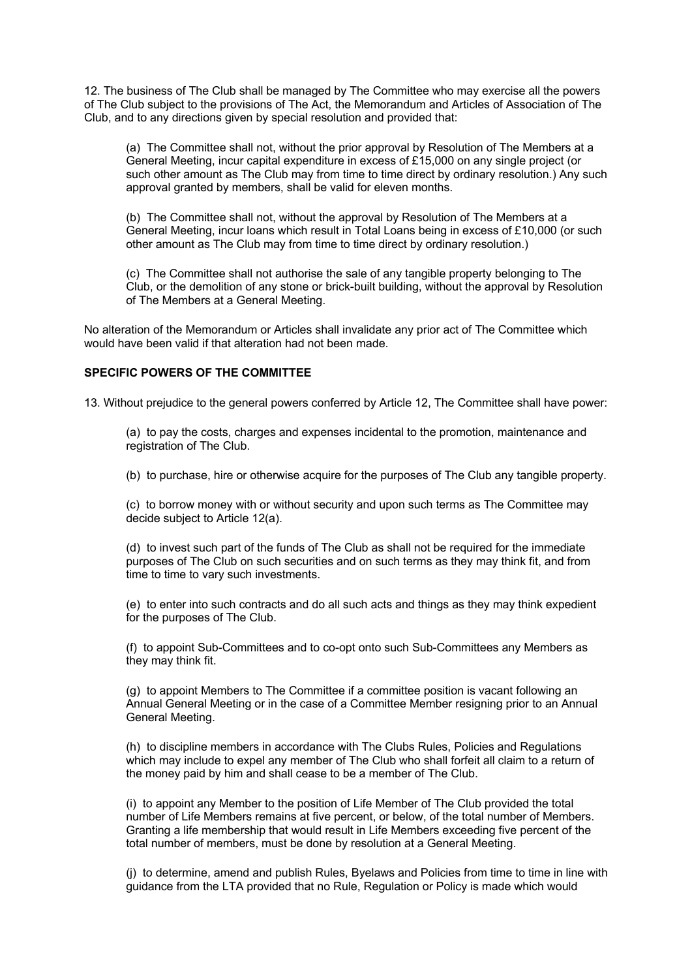12. The business of The Club shall be managed by The Committee who may exercise all the powers of The Club subject to the provisions of The Act, the Memorandum and Articles of Association of The Club, and to any directions given by special resolution and provided that:

(a) The Committee shall not, without the prior approval by Resolution of The Members at a General Meeting, incur capital expenditure in excess of £15,000 on any single project (or such other amount as The Club may from time to time direct by ordinary resolution.) Any such approval granted by members, shall be valid for eleven months.

(b) The Committee shall not, without the approval by Resolution of The Members at a General Meeting, incur loans which result in Total Loans being in excess of £10,000 (or such other amount as The Club may from time to time direct by ordinary resolution.)

(c) The Committee shall not authorise the sale of any tangible property belonging to The Club, or the demolition of any stone or brick-built building, without the approval by Resolution of The Members at a General Meeting.

No alteration of the Memorandum or Articles shall invalidate any prior act of The Committee which would have been valid if that alteration had not been made.

#### **SPECIFIC POWERS OF THE COMMITTEE**

13. Without prejudice to the general powers conferred by Article 12, The Committee shall have power:

(a) to pay the costs, charges and expenses incidental to the promotion, maintenance and registration of The Club.

(b) to purchase, hire or otherwise acquire for the purposes of The Club any tangible property.

(c) to borrow money with or without security and upon such terms as The Committee may decide subject to Article 12(a).

(d) to invest such part of the funds of The Club as shall not be required for the immediate purposes of The Club on such securities and on such terms as they may think fit, and from time to time to vary such investments.

(e) to enter into such contracts and do all such acts and things as they may think expedient for the purposes of The Club.

(f) to appoint Sub-Committees and to co-opt onto such Sub-Committees any Members as they may think fit.

(g) to appoint Members to The Committee if a committee position is vacant following an Annual General Meeting or in the case of a Committee Member resigning prior to an Annual General Meeting.

(h) to discipline members in accordance with The Clubs Rules, Policies and Regulations which may include to expel any member of The Club who shall forfeit all claim to a return of the money paid by him and shall cease to be a member of The Club.

(i) to appoint any Member to the position of Life Member of The Club provided the total number of Life Members remains at five percent, or below, of the total number of Members. Granting a life membership that would result in Life Members exceeding five percent of the total number of members, must be done by resolution at a General Meeting.

(j) to determine, amend and publish Rules, Byelaws and Policies from time to time in line with guidance from the LTA provided that no Rule, Regulation or Policy is made which would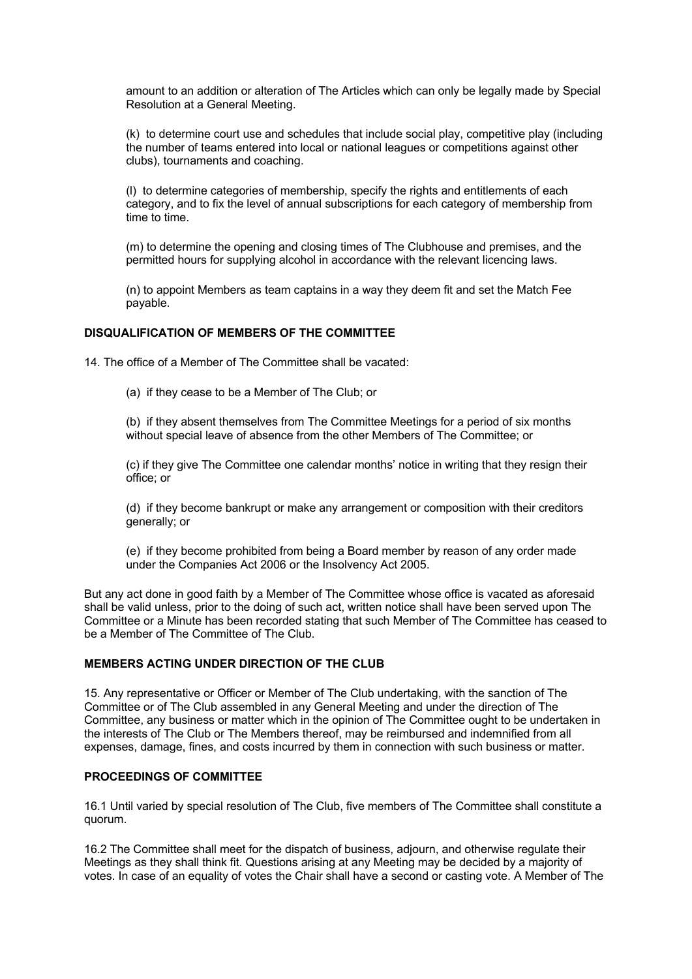amount to an addition or alteration of The Articles which can only be legally made by Special Resolution at a General Meeting.

(k) to determine court use and schedules that include social play, competitive play (including the number of teams entered into local or national leagues or competitions against other clubs), tournaments and coaching.

(l) to determine categories of membership, specify the rights and entitlements of each category, and to fix the level of annual subscriptions for each category of membership from time to time.

(m) to determine the opening and closing times of The Clubhouse and premises, and the permitted hours for supplying alcohol in accordance with the relevant licencing laws.

(n) to appoint Members as team captains in a way they deem fit and set the Match Fee payable.

## **DISQUALIFICATION OF MEMBERS OF THE COMMITTEE**

14. The office of a Member of The Committee shall be vacated:

(a) if they cease to be a Member of The Club; or

(b) if they absent themselves from The Committee Meetings for a period of six months without special leave of absence from the other Members of The Committee; or

(c) if they give The Committee one calendar months' notice in writing that they resign their office; or

(d) if they become bankrupt or make any arrangement or composition with their creditors generally; or

(e) if they become prohibited from being a Board member by reason of any order made under the Companies Act 2006 or the Insolvency Act 2005.

But any act done in good faith by a Member of The Committee whose office is vacated as aforesaid shall be valid unless, prior to the doing of such act, written notice shall have been served upon The Committee or a Minute has been recorded stating that such Member of The Committee has ceased to be a Member of The Committee of The Club.

## **MEMBERS ACTING UNDER DIRECTION OF THE CLUB**

15. Any representative or Officer or Member of The Club undertaking, with the sanction of The Committee or of The Club assembled in any General Meeting and under the direction of The Committee, any business or matter which in the opinion of The Committee ought to be undertaken in the interests of The Club or The Members thereof, may be reimbursed and indemnified from all expenses, damage, fines, and costs incurred by them in connection with such business or matter.

#### **PROCEEDINGS OF COMMITTEE**

16.1 Until varied by special resolution of The Club, five members of The Committee shall constitute a quorum.

16.2 The Committee shall meet for the dispatch of business, adjourn, and otherwise regulate their Meetings as they shall think fit. Questions arising at any Meeting may be decided by a majority of votes. In case of an equality of votes the Chair shall have a second or casting vote. A Member of The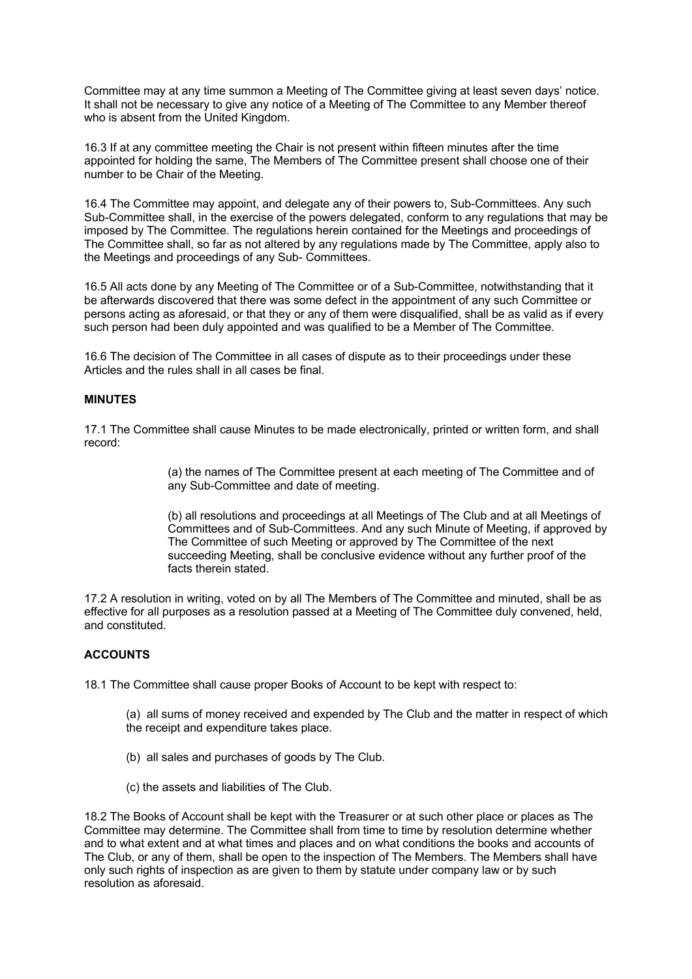Committee may at any time summon a Meeting of The Committee giving at least seven days' notice. It shall not be necessary to give any notice of a Meeting of The Committee to any Member thereof who is absent from the United Kingdom.

16.3 If at any committee meeting the Chair is not present within fifteen minutes after the time appointed for holding the same, The Members of The Committee present shall choose one of their number to be Chair of the Meeting.

16.4 The Committee may appoint, and delegate any of their powers to, Sub-Committees. Any such Sub-Committee shall, in the exercise of the powers delegated, conform to any regulations that may be imposed by The Committee. The regulations herein contained for the Meetings and proceedings of The Committee shall, so far as not altered by any regulations made by The Committee, apply also to the Meetings and proceedings of any Sub- Committees.

16.5 All acts done by any Meeting of The Committee or of a Sub-Committee, notwithstanding that it be afterwards discovered that there was some defect in the appointment of any such Committee or persons acting as aforesaid, or that they or any of them were disqualified, shall be as valid as if every such person had been duly appointed and was qualified to be a Member of The Committee.

16.6 The decision of The Committee in all cases of dispute as to their proceedings under these Articles and the rules shall in all cases be final.

## **MINUTES**

17.1 The Committee shall cause Minutes to be made electronically, printed or written form, and shall record:

> (a) the names of The Committee present at each meeting of The Committee and of any Sub-Committee and date of meeting.

(b) all resolutions and proceedings at all Meetings of The Club and at all Meetings of Committees and of Sub-Committees. And any such Minute of Meeting, if approved by The Committee of such Meeting or approved by The Committee of the next succeeding Meeting, shall be conclusive evidence without any further proof of the facts therein stated

17.2 A resolution in writing, voted on by all The Members of The Committee and minuted, shall be as effective for all purposes as a resolution passed at a Meeting of The Committee duly convened, held, and constituted.

# **ACCOUNTS**

18.1 The Committee shall cause proper Books of Account to be kept with respect to:

- (a) all sums of money received and expended by The Club and the matter in respect of which the receipt and expenditure takes place.
- (b) all sales and purchases of goods by The Club.
- (c) the assets and liabilities of The Club.

18.2 The Books of Account shall be kept with the Treasurer or at such other place or places as The Committee may determine. The Committee shall from time to time by resolution determine whether and to what extent and at what times and places and on what conditions the books and accounts of The Club, or any of them, shall be open to the inspection of The Members. The Members shall have only such rights of inspection as are given to them by statute under company law or by such resolution as aforesaid.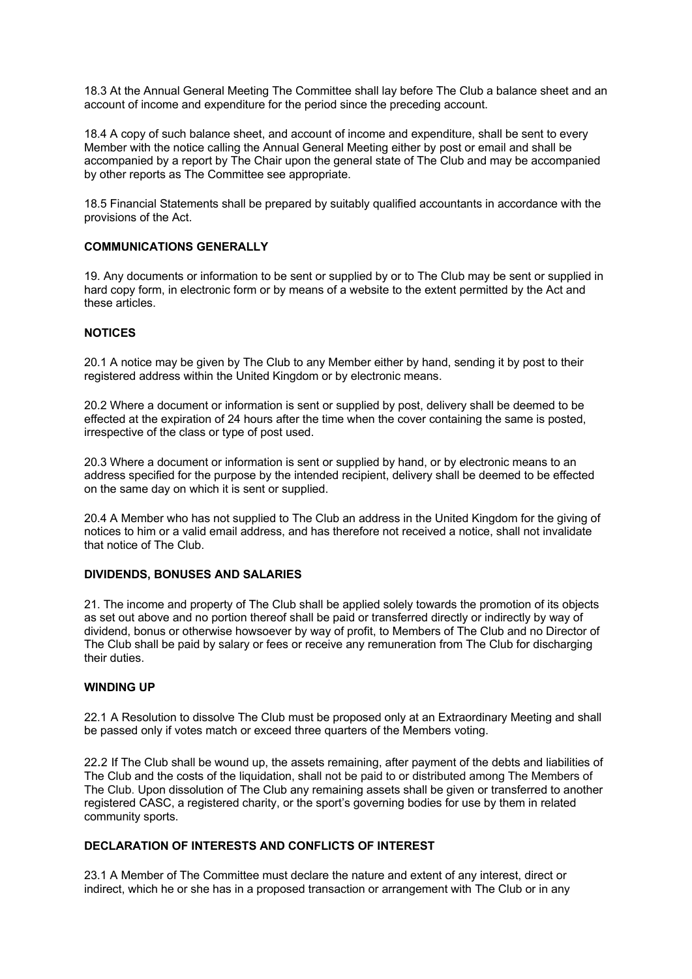18.3 At the Annual General Meeting The Committee shall lay before The Club a balance sheet and an account of income and expenditure for the period since the preceding account.

18.4 A copy of such balance sheet, and account of income and expenditure, shall be sent to every Member with the notice calling the Annual General Meeting either by post or email and shall be accompanied by a report by The Chair upon the general state of The Club and may be accompanied by other reports as The Committee see appropriate.

18.5 Financial Statements shall be prepared by suitably qualified accountants in accordance with the provisions of the Act.

#### **COMMUNICATIONS GENERALLY**

19. Any documents or information to be sent or supplied by or to The Club may be sent or supplied in hard copy form, in electronic form or by means of a website to the extent permitted by the Act and these articles.

## **NOTICES**

20.1 A notice may be given by The Club to any Member either by hand, sending it by post to their registered address within the United Kingdom or by electronic means.

20.2 Where a document or information is sent or supplied by post, delivery shall be deemed to be effected at the expiration of 24 hours after the time when the cover containing the same is posted, irrespective of the class or type of post used.

20.3 Where a document or information is sent or supplied by hand, or by electronic means to an address specified for the purpose by the intended recipient, delivery shall be deemed to be effected on the same day on which it is sent or supplied.

20.4 A Member who has not supplied to The Club an address in the United Kingdom for the giving of notices to him or a valid email address, and has therefore not received a notice, shall not invalidate that notice of The Club.

#### **DIVIDENDS, BONUSES AND SALARIES**

21. The income and property of The Club shall be applied solely towards the promotion of its objects as set out above and no portion thereof shall be paid or transferred directly or indirectly by way of dividend, bonus or otherwise howsoever by way of profit, to Members of The Club and no Director of The Club shall be paid by salary or fees or receive any remuneration from The Club for discharging their duties.

#### **WINDING UP**

22.1 A Resolution to dissolve The Club must be proposed only at an Extraordinary Meeting and shall be passed only if votes match or exceed three quarters of the Members voting.

22.2 If The Club shall be wound up, the assets remaining, after payment of the debts and liabilities of The Club and the costs of the liquidation, shall not be paid to or distributed among The Members of The Club. Upon dissolution of The Club any remaining assets shall be given or transferred to another registered CASC, a registered charity, or the sport's governing bodies for use by them in related community sports.

# **DECLARATION OF INTERESTS AND CONFLICTS OF INTEREST**

23.1 A Member of The Committee must declare the nature and extent of any interest, direct or indirect, which he or she has in a proposed transaction or arrangement with The Club or in any